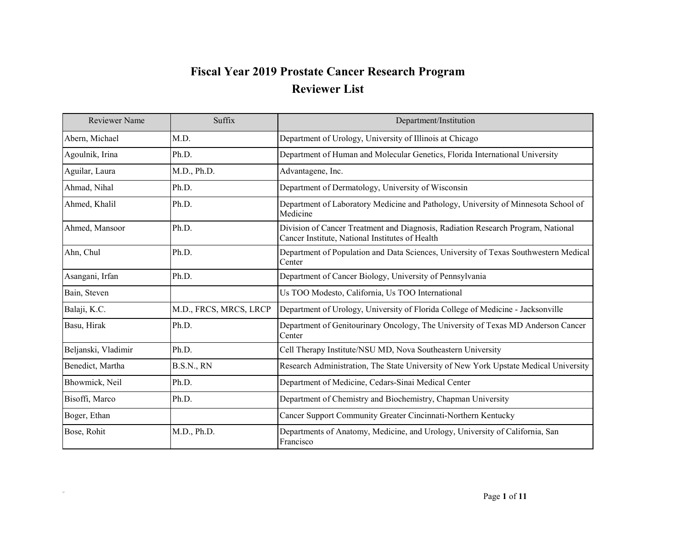## **Fiscal Year 2019 Prostate Cancer Research Program Reviewer List**

| <b>Reviewer Name</b> | Suffix                 | Department/Institution                                                                                                              |
|----------------------|------------------------|-------------------------------------------------------------------------------------------------------------------------------------|
| Abern, Michael       | M.D.                   | Department of Urology, University of Illinois at Chicago                                                                            |
| Agoulnik, Irina      | Ph.D.                  | Department of Human and Molecular Genetics, Florida International University                                                        |
| Aguilar, Laura       | M.D., Ph.D.            | Advantagene, Inc.                                                                                                                   |
| Ahmad, Nihal         | Ph.D.                  | Department of Dermatology, University of Wisconsin                                                                                  |
| Ahmed, Khalil        | Ph.D.                  | Department of Laboratory Medicine and Pathology, University of Minnesota School of<br>Medicine                                      |
| Ahmed, Mansoor       | Ph.D.                  | Division of Cancer Treatment and Diagnosis, Radiation Research Program, National<br>Cancer Institute, National Institutes of Health |
| Ahn, Chul            | Ph.D.                  | Department of Population and Data Sciences, University of Texas Southwestern Medical<br>Center                                      |
| Asangani, Irfan      | Ph.D.                  | Department of Cancer Biology, University of Pennsylvania                                                                            |
| Bain, Steven         |                        | Us TOO Modesto, California, Us TOO International                                                                                    |
| Balaji, K.C.         | M.D., FRCS, MRCS, LRCP | Department of Urology, University of Florida College of Medicine - Jacksonville                                                     |
| Basu, Hirak          | Ph.D.                  | Department of Genitourinary Oncology, The University of Texas MD Anderson Cancer<br>Center                                          |
| Beljanski, Vladimir  | Ph.D.                  | Cell Therapy Institute/NSU MD, Nova Southeastern University                                                                         |
| Benedict, Martha     | <b>B.S.N., RN</b>      | Research Administration, The State University of New York Upstate Medical University                                                |
| Bhowmick, Neil       | Ph.D.                  | Department of Medicine, Cedars-Sinai Medical Center                                                                                 |
| Bisoffi, Marco       | Ph.D.                  | Department of Chemistry and Biochemistry, Chapman University                                                                        |
| Boger, Ethan         |                        | Cancer Support Community Greater Cincinnati-Northern Kentucky                                                                       |
| Bose, Rohit          | M.D., Ph.D.            | Departments of Anatomy, Medicine, and Urology, University of California, San<br>Francisco                                           |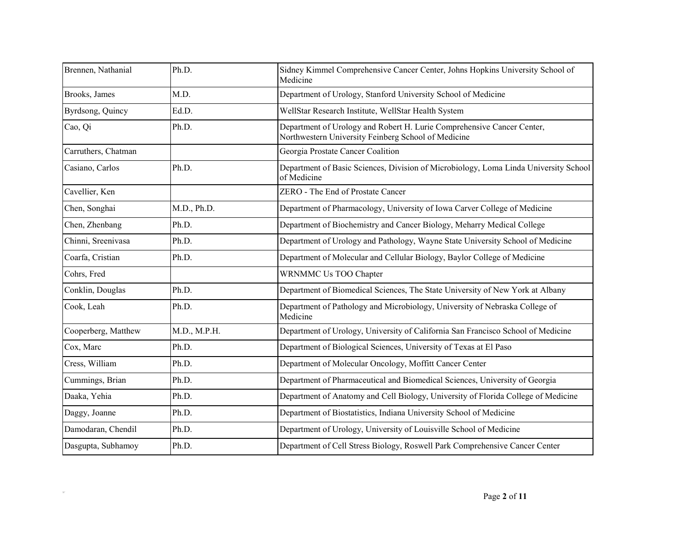| Brennen, Nathanial  | Ph.D.        | Sidney Kimmel Comprehensive Cancer Center, Johns Hopkins University School of<br>Medicine                                     |
|---------------------|--------------|-------------------------------------------------------------------------------------------------------------------------------|
| Brooks, James       | M.D.         | Department of Urology, Stanford University School of Medicine                                                                 |
| Byrdsong, Quincy    | Ed.D.        | WellStar Research Institute, WellStar Health System                                                                           |
| Cao, Qi             | Ph.D.        | Department of Urology and Robert H. Lurie Comprehensive Cancer Center,<br>Northwestern University Feinberg School of Medicine |
| Carruthers, Chatman |              | Georgia Prostate Cancer Coalition                                                                                             |
| Casiano, Carlos     | Ph.D.        | Department of Basic Sciences, Division of Microbiology, Loma Linda University School<br>of Medicine                           |
| Cavellier, Ken      |              | ZERO - The End of Prostate Cancer                                                                                             |
| Chen, Songhai       | M.D., Ph.D.  | Department of Pharmacology, University of Iowa Carver College of Medicine                                                     |
| Chen, Zhenbang      | Ph.D.        | Department of Biochemistry and Cancer Biology, Meharry Medical College                                                        |
| Chinni, Sreenivasa  | Ph.D.        | Department of Urology and Pathology, Wayne State University School of Medicine                                                |
| Coarfa, Cristian    | Ph.D.        | Department of Molecular and Cellular Biology, Baylor College of Medicine                                                      |
| Cohrs, Fred         |              | <b>WRNMMC Us TOO Chapter</b>                                                                                                  |
| Conklin, Douglas    | Ph.D.        | Department of Biomedical Sciences, The State University of New York at Albany                                                 |
| Cook, Leah          | Ph.D.        | Department of Pathology and Microbiology, University of Nebraska College of<br>Medicine                                       |
| Cooperberg, Matthew | M.D., M.P.H. | Department of Urology, University of California San Francisco School of Medicine                                              |
| Cox, Marc           | Ph.D.        | Department of Biological Sciences, University of Texas at El Paso                                                             |
| Cress, William      | Ph.D.        | Department of Molecular Oncology, Moffitt Cancer Center                                                                       |
| Cummings, Brian     | Ph.D.        | Department of Pharmaceutical and Biomedical Sciences, University of Georgia                                                   |
| Daaka, Yehia        | Ph.D.        | Department of Anatomy and Cell Biology, University of Florida College of Medicine                                             |
| Daggy, Joanne       | Ph.D.        | Department of Biostatistics, Indiana University School of Medicine                                                            |
| Damodaran, Chendil  | Ph.D.        | Department of Urology, University of Louisville School of Medicine                                                            |
| Dasgupta, Subhamoy  | Ph.D.        | Department of Cell Stress Biology, Roswell Park Comprehensive Cancer Center                                                   |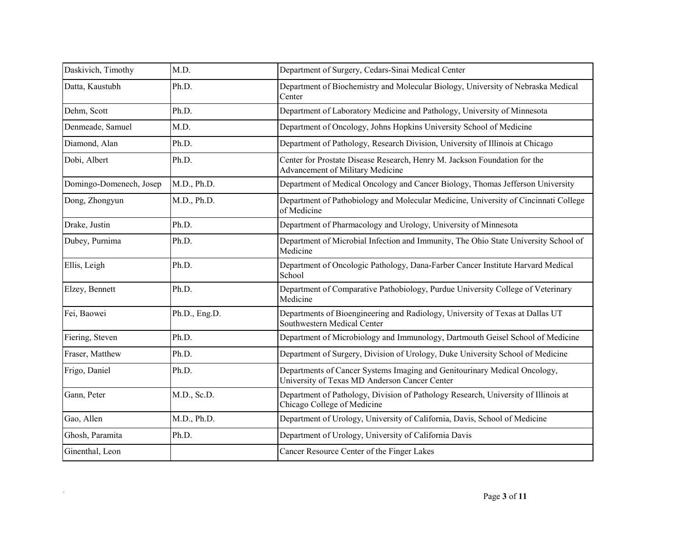| Daskivich, Timothy      | M.D.          | Department of Surgery, Cedars-Sinai Medical Center                                                                         |
|-------------------------|---------------|----------------------------------------------------------------------------------------------------------------------------|
| Datta, Kaustubh         | Ph.D.         | Department of Biochemistry and Molecular Biology, University of Nebraska Medical<br>Center                                 |
| Dehm, Scott             | Ph.D.         | Department of Laboratory Medicine and Pathology, University of Minnesota                                                   |
| Denmeade, Samuel        | M.D.          | Department of Oncology, Johns Hopkins University School of Medicine                                                        |
| Diamond, Alan           | Ph.D.         | Department of Pathology, Research Division, University of Illinois at Chicago                                              |
| Dobi, Albert            | Ph.D.         | Center for Prostate Disease Research, Henry M. Jackson Foundation for the<br>Advancement of Military Medicine              |
| Domingo-Domenech, Josep | M.D., Ph.D.   | Department of Medical Oncology and Cancer Biology, Thomas Jefferson University                                             |
| Dong, Zhongyun          | M.D., Ph.D.   | Department of Pathobiology and Molecular Medicine, University of Cincinnati College<br>of Medicine                         |
| Drake, Justin           | Ph.D.         | Department of Pharmacology and Urology, University of Minnesota                                                            |
| Dubey, Purnima          | Ph.D.         | Department of Microbial Infection and Immunity, The Ohio State University School of<br>Medicine                            |
| Ellis, Leigh            | Ph.D.         | Department of Oncologic Pathology, Dana-Farber Cancer Institute Harvard Medical<br>School                                  |
| Elzey, Bennett          | Ph.D.         | Department of Comparative Pathobiology, Purdue University College of Veterinary<br>Medicine                                |
| Fei, Baowei             | Ph.D., Eng.D. | Departments of Bioengineering and Radiology, University of Texas at Dallas UT<br>Southwestern Medical Center               |
| Fiering, Steven         | Ph.D.         | Department of Microbiology and Immunology, Dartmouth Geisel School of Medicine                                             |
| Fraser, Matthew         | Ph.D.         | Department of Surgery, Division of Urology, Duke University School of Medicine                                             |
| Frigo, Daniel           | Ph.D.         | Departments of Cancer Systems Imaging and Genitourinary Medical Oncology,<br>University of Texas MD Anderson Cancer Center |
| Gann, Peter             | M.D., Sc.D.   | Department of Pathology, Division of Pathology Research, University of Illinois at<br>Chicago College of Medicine          |
| Gao, Allen              | M.D., Ph.D.   | Department of Urology, University of California, Davis, School of Medicine                                                 |
| Ghosh, Paramita         | Ph.D.         | Department of Urology, University of California Davis                                                                      |
| Ginenthal, Leon         |               | Cancer Resource Center of the Finger Lakes                                                                                 |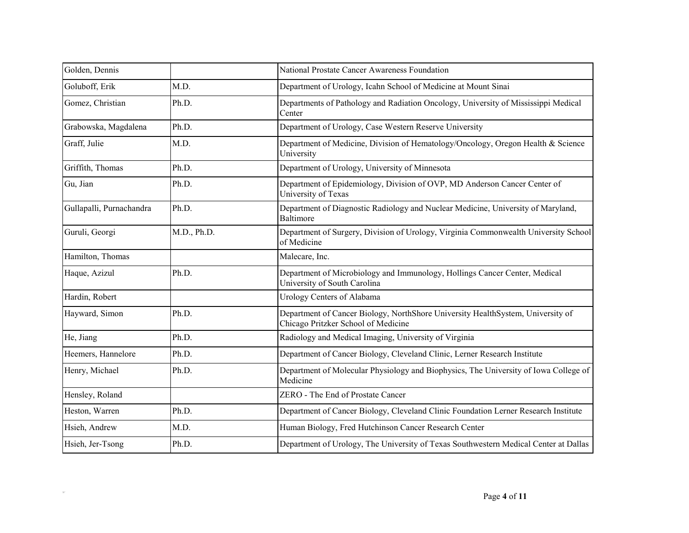| Golden, Dennis           |             | National Prostate Cancer Awareness Foundation                                                                          |
|--------------------------|-------------|------------------------------------------------------------------------------------------------------------------------|
| Goluboff, Erik           | M.D.        | Department of Urology, Icahn School of Medicine at Mount Sinai                                                         |
| Gomez, Christian         | Ph.D.       | Departments of Pathology and Radiation Oncology, University of Mississippi Medical<br>Center                           |
| Grabowska, Magdalena     | Ph.D.       | Department of Urology, Case Western Reserve University                                                                 |
| Graff, Julie             | M.D.        | Department of Medicine, Division of Hematology/Oncology, Oregon Health & Science<br>University                         |
| Griffith, Thomas         | Ph.D.       | Department of Urology, University of Minnesota                                                                         |
| Gu, Jian                 | Ph.D.       | Department of Epidemiology, Division of OVP, MD Anderson Cancer Center of<br>University of Texas                       |
| Gullapalli, Purnachandra | Ph.D.       | Department of Diagnostic Radiology and Nuclear Medicine, University of Maryland,<br>Baltimore                          |
| Guruli, Georgi           | M.D., Ph.D. | Department of Surgery, Division of Urology, Virginia Commonwealth University School<br>of Medicine                     |
| Hamilton, Thomas         |             | Malecare, Inc.                                                                                                         |
| Haque, Azizul            | Ph.D.       | Department of Microbiology and Immunology, Hollings Cancer Center, Medical<br>University of South Carolina             |
| Hardin, Robert           |             | Urology Centers of Alabama                                                                                             |
| Hayward, Simon           | Ph.D.       | Department of Cancer Biology, NorthShore University HealthSystem, University of<br>Chicago Pritzker School of Medicine |
| He, Jiang                | Ph.D.       | Radiology and Medical Imaging, University of Virginia                                                                  |
| Heemers, Hannelore       | Ph.D.       | Department of Cancer Biology, Cleveland Clinic, Lerner Research Institute                                              |
| Henry, Michael           | Ph.D.       | Department of Molecular Physiology and Biophysics, The University of Iowa College of<br>Medicine                       |
| Hensley, Roland          |             | ZERO - The End of Prostate Cancer                                                                                      |
| Heston, Warren           | Ph.D.       | Department of Cancer Biology, Cleveland Clinic Foundation Lerner Research Institute                                    |
| Hsieh, Andrew            | M.D.        | Human Biology, Fred Hutchinson Cancer Research Center                                                                  |
| Hsieh, Jer-Tsong         | Ph.D.       | Department of Urology, The University of Texas Southwestern Medical Center at Dallas                                   |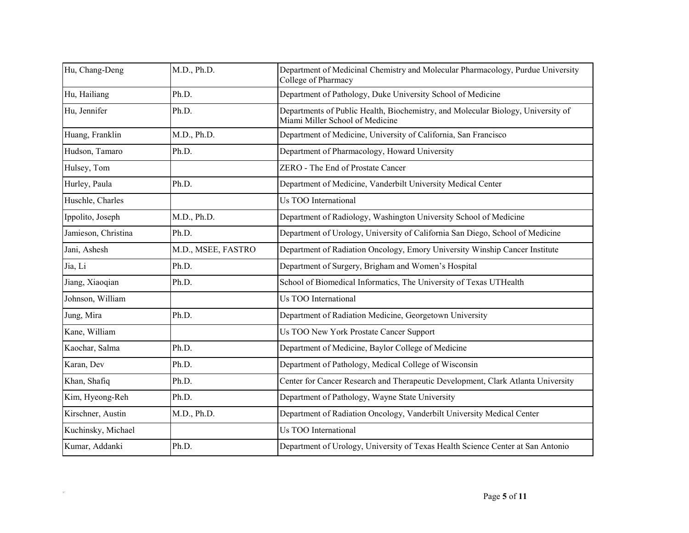| Hu, Chang-Deng      | M.D., Ph.D.        | Department of Medicinal Chemistry and Molecular Pharmacology, Purdue University<br>College of Pharmacy              |
|---------------------|--------------------|---------------------------------------------------------------------------------------------------------------------|
| Hu, Hailiang        | Ph.D.              | Department of Pathology, Duke University School of Medicine                                                         |
| Hu, Jennifer        | Ph.D.              | Departments of Public Health, Biochemistry, and Molecular Biology, University of<br>Miami Miller School of Medicine |
| Huang, Franklin     | M.D., Ph.D.        | Department of Medicine, University of California, San Francisco                                                     |
| Hudson, Tamaro      | Ph.D.              | Department of Pharmacology, Howard University                                                                       |
| Hulsey, Tom         |                    | ZERO - The End of Prostate Cancer                                                                                   |
| Hurley, Paula       | Ph.D.              | Department of Medicine, Vanderbilt University Medical Center                                                        |
| Huschle, Charles    |                    | Us TOO International                                                                                                |
| Ippolito, Joseph    | M.D., Ph.D.        | Department of Radiology, Washington University School of Medicine                                                   |
| Jamieson, Christina | Ph.D.              | Department of Urology, University of California San Diego, School of Medicine                                       |
| Jani, Ashesh        | M.D., MSEE, FASTRO | Department of Radiation Oncology, Emory University Winship Cancer Institute                                         |
| Jia, Li             | Ph.D.              | Department of Surgery, Brigham and Women's Hospital                                                                 |
| Jiang, Xiaoqian     | Ph.D.              | School of Biomedical Informatics, The University of Texas UTHealth                                                  |
| Johnson, William    |                    | Us TOO International                                                                                                |
| Jung, Mira          | Ph.D.              | Department of Radiation Medicine, Georgetown University                                                             |
| Kane, William       |                    | Us TOO New York Prostate Cancer Support                                                                             |
| Kaochar, Salma      | Ph.D.              | Department of Medicine, Baylor College of Medicine                                                                  |
| Karan, Dev          | Ph.D.              | Department of Pathology, Medical College of Wisconsin                                                               |
| Khan, Shafiq        | Ph.D.              | Center for Cancer Research and Therapeutic Development, Clark Atlanta University                                    |
| Kim, Hyeong-Reh     | Ph.D.              | Department of Pathology, Wayne State University                                                                     |
| Kirschner, Austin   | M.D., Ph.D.        | Department of Radiation Oncology, Vanderbilt University Medical Center                                              |
| Kuchinsky, Michael  |                    | Us TOO International                                                                                                |
| Kumar, Addanki      | Ph.D.              | Department of Urology, University of Texas Health Science Center at San Antonio                                     |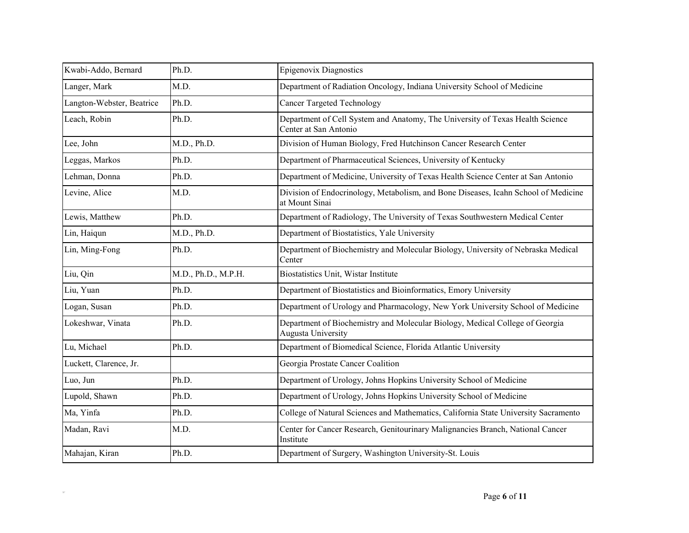| Kwabi-Addo, Bernard       | Ph.D.               | Epigenovix Diagnostics                                                                                 |
|---------------------------|---------------------|--------------------------------------------------------------------------------------------------------|
| Langer, Mark              | M.D.                | Department of Radiation Oncology, Indiana University School of Medicine                                |
| Langton-Webster, Beatrice | Ph.D.               | <b>Cancer Targeted Technology</b>                                                                      |
| Leach, Robin              | Ph.D.               | Department of Cell System and Anatomy, The University of Texas Health Science<br>Center at San Antonio |
| Lee, John                 | M.D., Ph.D.         | Division of Human Biology, Fred Hutchinson Cancer Research Center                                      |
| Leggas, Markos            | Ph.D.               | Department of Pharmaceutical Sciences, University of Kentucky                                          |
| Lehman, Donna             | Ph.D.               | Department of Medicine, University of Texas Health Science Center at San Antonio                       |
| Levine, Alice             | M.D.                | Division of Endocrinology, Metabolism, and Bone Diseases, Icahn School of Medicine<br>at Mount Sinai   |
| Lewis, Matthew            | Ph.D.               | Department of Radiology, The University of Texas Southwestern Medical Center                           |
| Lin, Haiqun               | M.D., Ph.D.         | Department of Biostatistics, Yale University                                                           |
| Lin, Ming-Fong            | Ph.D.               | Department of Biochemistry and Molecular Biology, University of Nebraska Medical<br>Center             |
| Liu, Qin                  | M.D., Ph.D., M.P.H. | Biostatistics Unit, Wistar Institute                                                                   |
| Liu, Yuan                 | Ph.D.               | Department of Biostatistics and Bioinformatics, Emory University                                       |
| Logan, Susan              | Ph.D.               | Department of Urology and Pharmacology, New York University School of Medicine                         |
| Lokeshwar, Vinata         | Ph.D.               | Department of Biochemistry and Molecular Biology, Medical College of Georgia<br>Augusta University     |
| Lu, Michael               | Ph.D.               | Department of Biomedical Science, Florida Atlantic University                                          |
| Luckett, Clarence, Jr.    |                     | Georgia Prostate Cancer Coalition                                                                      |
| Luo, Jun                  | Ph.D.               | Department of Urology, Johns Hopkins University School of Medicine                                     |
| Lupold, Shawn             | Ph.D.               | Department of Urology, Johns Hopkins University School of Medicine                                     |
| Ma, Yinfa                 | Ph.D.               | College of Natural Sciences and Mathematics, California State University Sacramento                    |
| Madan, Ravi               | M.D.                | Center for Cancer Research, Genitourinary Malignancies Branch, National Cancer<br>Institute            |
| Mahajan, Kiran            | Ph.D.               | Department of Surgery, Washington University-St. Louis                                                 |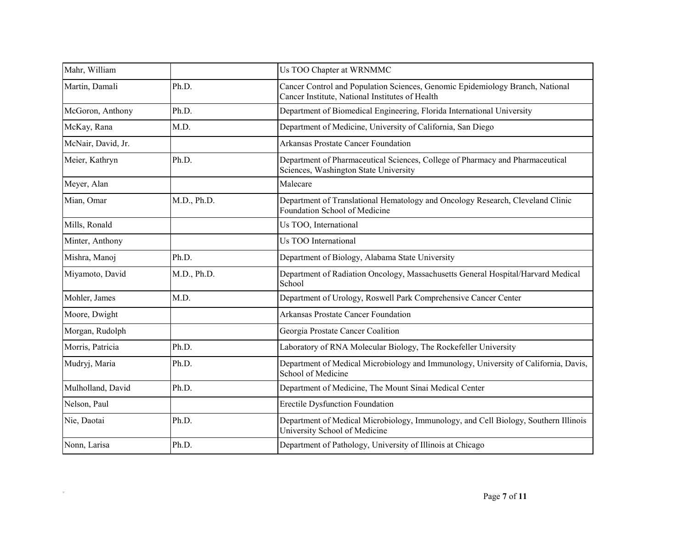| Mahr, William      |             | Us TOO Chapter at WRNMMC                                                                                                         |
|--------------------|-------------|----------------------------------------------------------------------------------------------------------------------------------|
| Martin, Damali     | Ph.D.       | Cancer Control and Population Sciences, Genomic Epidemiology Branch, National<br>Cancer Institute, National Institutes of Health |
| McGoron, Anthony   | Ph.D.       | Department of Biomedical Engineering, Florida International University                                                           |
| McKay, Rana        | M.D.        | Department of Medicine, University of California, San Diego                                                                      |
| McNair, David, Jr. |             | Arkansas Prostate Cancer Foundation                                                                                              |
| Meier, Kathryn     | Ph.D.       | Department of Pharmaceutical Sciences, College of Pharmacy and Pharmaceutical<br>Sciences, Washington State University           |
| Meyer, Alan        |             | Malecare                                                                                                                         |
| Mian, Omar         | M.D., Ph.D. | Department of Translational Hematology and Oncology Research, Cleveland Clinic<br>Foundation School of Medicine                  |
| Mills, Ronald      |             | Us TOO, International                                                                                                            |
| Minter, Anthony    |             | Us TOO International                                                                                                             |
| Mishra, Manoj      | Ph.D.       | Department of Biology, Alabama State University                                                                                  |
| Miyamoto, David    | M.D., Ph.D. | Department of Radiation Oncology, Massachusetts General Hospital/Harvard Medical<br>School                                       |
| Mohler, James      | M.D.        | Department of Urology, Roswell Park Comprehensive Cancer Center                                                                  |
| Moore, Dwight      |             | Arkansas Prostate Cancer Foundation                                                                                              |
| Morgan, Rudolph    |             | Georgia Prostate Cancer Coalition                                                                                                |
| Morris, Patricia   | Ph.D.       | Laboratory of RNA Molecular Biology, The Rockefeller University                                                                  |
| Mudryj, Maria      | Ph.D.       | Department of Medical Microbiology and Immunology, University of California, Davis,<br>School of Medicine                        |
| Mulholland, David  | Ph.D.       | Department of Medicine, The Mount Sinai Medical Center                                                                           |
| Nelson, Paul       |             | <b>Erectile Dysfunction Foundation</b>                                                                                           |
| Nie, Daotai        | Ph.D.       | Department of Medical Microbiology, Immunology, and Cell Biology, Southern Illinois<br>University School of Medicine             |
| Nonn, Larisa       | Ph.D.       | Department of Pathology, University of Illinois at Chicago                                                                       |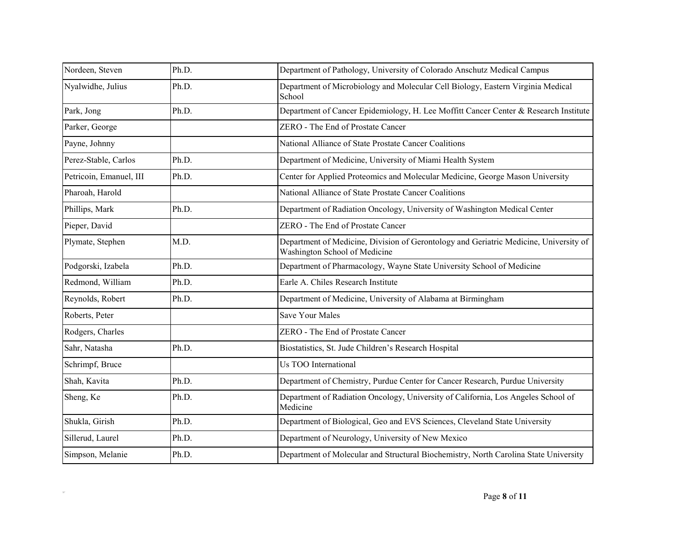| Nordeen, Steven         | Ph.D. | Department of Pathology, University of Colorado Anschutz Medical Campus                                                |
|-------------------------|-------|------------------------------------------------------------------------------------------------------------------------|
| Nyalwidhe, Julius       | Ph.D. | Department of Microbiology and Molecular Cell Biology, Eastern Virginia Medical<br>School                              |
| Park, Jong              | Ph.D. | Department of Cancer Epidemiology, H. Lee Moffitt Cancer Center & Research Institute                                   |
| Parker, George          |       | ZERO - The End of Prostate Cancer                                                                                      |
| Payne, Johnny           |       | National Alliance of State Prostate Cancer Coalitions                                                                  |
| Perez-Stable, Carlos    | Ph.D. | Department of Medicine, University of Miami Health System                                                              |
| Petricoin, Emanuel, III | Ph.D. | Center for Applied Proteomics and Molecular Medicine, George Mason University                                          |
| Pharoah, Harold         |       | National Alliance of State Prostate Cancer Coalitions                                                                  |
| Phillips, Mark          | Ph.D. | Department of Radiation Oncology, University of Washington Medical Center                                              |
| Pieper, David           |       | ZERO - The End of Prostate Cancer                                                                                      |
| Plymate, Stephen        | M.D.  | Department of Medicine, Division of Gerontology and Geriatric Medicine, University of<br>Washington School of Medicine |
| Podgorski, Izabela      | Ph.D. | Department of Pharmacology, Wayne State University School of Medicine                                                  |
| Redmond, William        | Ph.D. | Earle A. Chiles Research Institute                                                                                     |
| Reynolds, Robert        | Ph.D. | Department of Medicine, University of Alabama at Birmingham                                                            |
| Roberts, Peter          |       | <b>Save Your Males</b>                                                                                                 |
| Rodgers, Charles        |       | ZERO - The End of Prostate Cancer                                                                                      |
| Sahr, Natasha           | Ph.D. | Biostatistics, St. Jude Children's Research Hospital                                                                   |
| Schrimpf, Bruce         |       | Us TOO International                                                                                                   |
| Shah, Kavita            | Ph.D. | Department of Chemistry, Purdue Center for Cancer Research, Purdue University                                          |
| Sheng, Ke               | Ph.D. | Department of Radiation Oncology, University of California, Los Angeles School of<br>Medicine                          |
| Shukla, Girish          | Ph.D. | Department of Biological, Geo and EVS Sciences, Cleveland State University                                             |
| Sillerud, Laurel        | Ph.D. | Department of Neurology, University of New Mexico                                                                      |
| Simpson, Melanie        | Ph.D. | Department of Molecular and Structural Biochemistry, North Carolina State University                                   |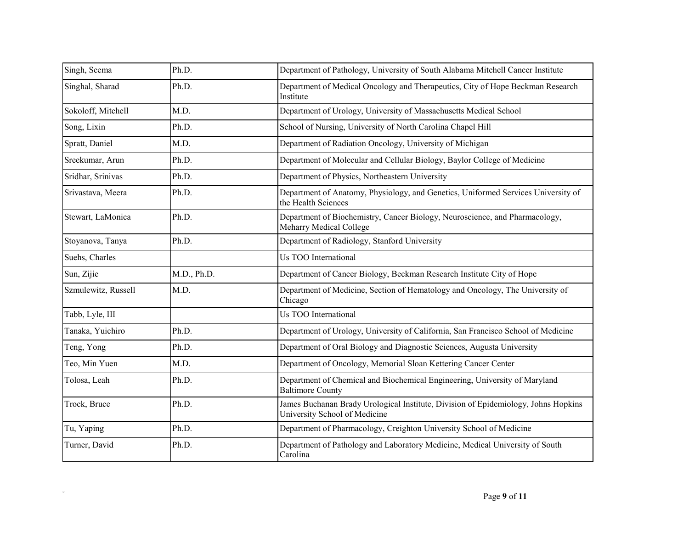| Singh, Seema        | Ph.D.       | Department of Pathology, University of South Alabama Mitchell Cancer Institute                                      |
|---------------------|-------------|---------------------------------------------------------------------------------------------------------------------|
| Singhal, Sharad     | Ph.D.       | Department of Medical Oncology and Therapeutics, City of Hope Beckman Research<br>Institute                         |
| Sokoloff, Mitchell  | M.D.        | Department of Urology, University of Massachusetts Medical School                                                   |
| Song, Lixin         | Ph.D.       | School of Nursing, University of North Carolina Chapel Hill                                                         |
| Spratt, Daniel      | M.D.        | Department of Radiation Oncology, University of Michigan                                                            |
| Sreekumar, Arun     | Ph.D.       | Department of Molecular and Cellular Biology, Baylor College of Medicine                                            |
| Sridhar, Srinivas   | Ph.D.       | Department of Physics, Northeastern University                                                                      |
| Srivastava, Meera   | Ph.D.       | Department of Anatomy, Physiology, and Genetics, Uniformed Services University of<br>the Health Sciences            |
| Stewart, LaMonica   | Ph.D.       | Department of Biochemistry, Cancer Biology, Neuroscience, and Pharmacology,<br>Meharry Medical College              |
| Stoyanova, Tanya    | Ph.D.       | Department of Radiology, Stanford University                                                                        |
| Suehs, Charles      |             | Us TOO International                                                                                                |
| Sun, Zijie          | M.D., Ph.D. | Department of Cancer Biology, Beckman Research Institute City of Hope                                               |
| Szmulewitz, Russell | M.D.        | Department of Medicine, Section of Hematology and Oncology, The University of<br>Chicago                            |
| Tabb, Lyle, III     |             | Us TOO International                                                                                                |
| Tanaka, Yuichiro    | Ph.D.       | Department of Urology, University of California, San Francisco School of Medicine                                   |
| Teng, Yong          | Ph.D.       | Department of Oral Biology and Diagnostic Sciences, Augusta University                                              |
| Teo, Min Yuen       | M.D.        | Department of Oncology, Memorial Sloan Kettering Cancer Center                                                      |
| Tolosa, Leah        | Ph.D.       | Department of Chemical and Biochemical Engineering, University of Maryland<br><b>Baltimore County</b>               |
| Trock, Bruce        | Ph.D.       | James Buchanan Brady Urological Institute, Division of Epidemiology, Johns Hopkins<br>University School of Medicine |
| Tu, Yaping          | Ph.D.       | Department of Pharmacology, Creighton University School of Medicine                                                 |
| Turner, David       | Ph.D.       | Department of Pathology and Laboratory Medicine, Medical University of South<br>Carolina                            |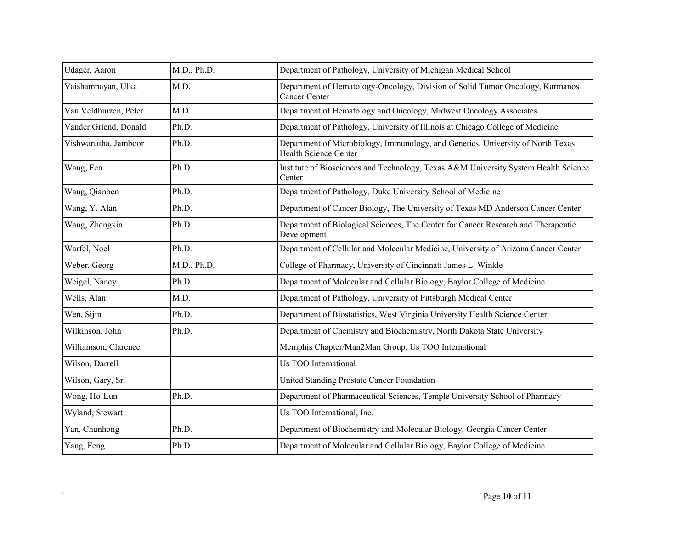| Udager, Aaron         | M.D., Ph.D. | Department of Pathology, University of Michigan Medical School                                                  |
|-----------------------|-------------|-----------------------------------------------------------------------------------------------------------------|
| Vaishampayan, Ulka    | M.D.        | Department of Hematology-Oncology, Division of Solid Tumor Oncology, Karmanos<br>Cancer Center                  |
| Van Veldhuizen, Peter | M.D.        | Department of Hematology and Oncology, Midwest Oncology Associates                                              |
| Vander Griend, Donald | Ph.D.       | Department of Pathology, University of Illinois at Chicago College of Medicine                                  |
| Vishwanatha, Jamboor  | Ph.D.       | Department of Microbiology, Immunology, and Genetics, University of North Texas<br><b>Health Science Center</b> |
| Wang, Fen             | Ph.D.       | Institute of Biosciences and Technology, Texas A&M University System Health Science<br>Center                   |
| Wang, Qianben         | Ph.D.       | Department of Pathology, Duke University School of Medicine                                                     |
| Wang, Y. Alan         | Ph.D.       | Department of Cancer Biology, The University of Texas MD Anderson Cancer Center                                 |
| Wang, Zhengxin        | Ph.D.       | Department of Biological Sciences, The Center for Cancer Research and Therapeutic<br>Development                |
| Warfel, Noel          | Ph.D.       | Department of Cellular and Molecular Medicine, University of Arizona Cancer Center                              |
| Weber, Georg          | M.D., Ph.D. | College of Pharmacy, University of Cincinnati James L. Winkle                                                   |
| Weigel, Nancy         | Ph.D.       | Department of Molecular and Cellular Biology, Baylor College of Medicine                                        |
| Wells, Alan           | M.D.        | Department of Pathology, University of Pittsburgh Medical Center                                                |
| Wen, Sijin            | Ph.D.       | Department of Biostatistics, West Virginia University Health Science Center                                     |
| Wilkinson, John       | Ph.D.       | Department of Chemistry and Biochemistry, North Dakota State University                                         |
| Williamson, Clarence  |             | Memphis Chapter/Man2Man Group, Us TOO International                                                             |
| Wilson, Darrell       |             | Us TOO International                                                                                            |
| Wilson, Gary, Sr.     |             | United Standing Prostate Cancer Foundation                                                                      |
| Wong, Ho-Lun          | Ph.D.       | Department of Pharmaceutical Sciences, Temple University School of Pharmacy                                     |
| Wyland, Stewart       |             | Us TOO International, Inc.                                                                                      |
| Yan, Chunhong         | Ph.D.       | Department of Biochemistry and Molecular Biology, Georgia Cancer Center                                         |
| Yang, Feng            | Ph.D.       | Department of Molecular and Cellular Biology, Baylor College of Medicine                                        |